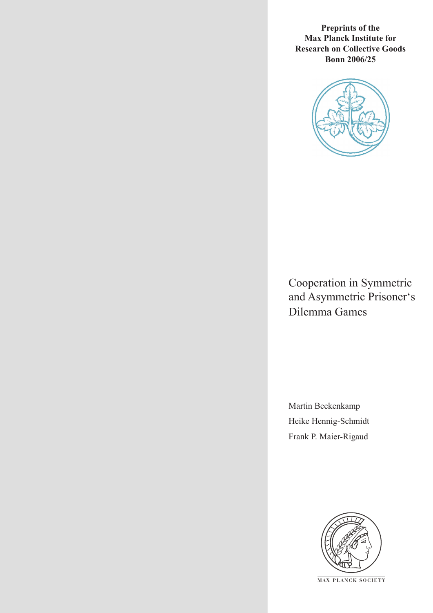**Preprints of the Max Planck Institute for Research on Collective Goods Bonn 2006/25**



Cooperation in Symmetric and Asymmetric Prisoner's Dilemma Games

Martin Beckenkamp Heike Hennig-Schmidt Frank P. Maier-Rigaud



**M AX P L A N C K S O C I E T Y**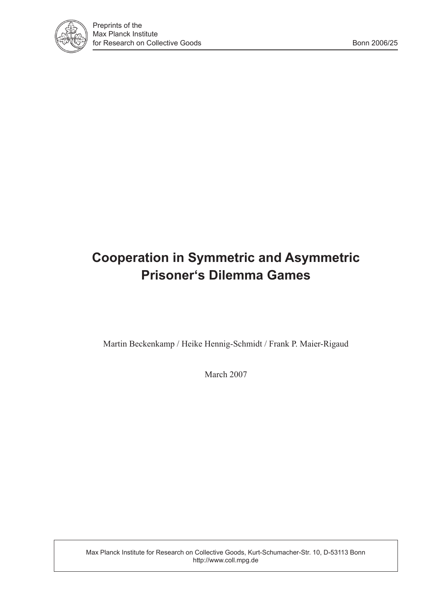

# **Cooperation in Symmetric and Asymmetric Prisoner's Dilemma Games**

Martin Beckenkamp / Heike Hennig-Schmidt / Frank P. Maier-Rigaud

March 2007

Max Planck Institute for Research on Collective Goods, Kurt-Schumacher-Str. 10, D-53113 Bonn http://www.coll.mpg.de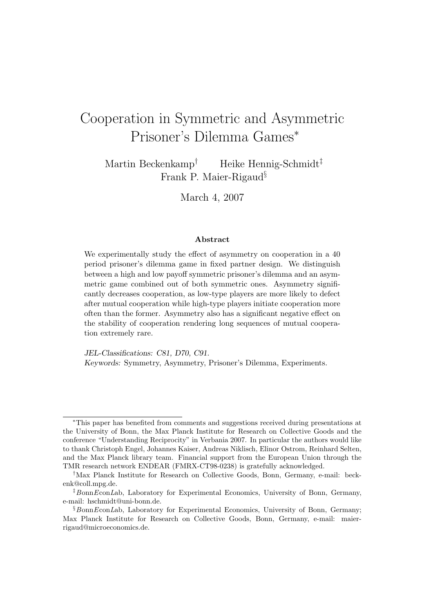# Cooperation in Symmetric and Asymmetric Prisoner's Dilemma Games<sup>∗</sup>

Martin Beckenkamp† Heike Hennig-Schmidt‡ Frank P. Maier-Rigaud§

March 4, 2007

#### Abstract

We experimentally study the effect of asymmetry on cooperation in a 40 period prisoner's dilemma game in fixed partner design. We distinguish between a high and low payoff symmetric prisoner's dilemma and an asymmetric game combined out of both symmetric ones. Asymmetry significantly decreases cooperation, as low-type players are more likely to defect after mutual cooperation while high-type players initiate cooperation more often than the former. Asymmetry also has a significant negative effect on the stability of cooperation rendering long sequences of mutual cooperation extremely rare.

JEL-Classifications: C81, D70, C91. Keywords: Symmetry, Asymmetry, Prisoner's Dilemma, Experiments.

<sup>∗</sup>This paper has benefited from comments and suggestions received during presentations at the University of Bonn, the Max Planck Institute for Research on Collective Goods and the conference "Understanding Reciprocity" in Verbania 2007. In particular the authors would like to thank Christoph Engel, Johannes Kaiser, Andreas Niklisch, Elinor Ostrom, Reinhard Selten, and the Max Planck library team. Financial support from the European Union through the TMR research network ENDEAR (FMRX-CT98-0238) is gratefully acknowledged.

<sup>†</sup>Max Planck Institute for Research on Collective Goods, Bonn, Germany, e-mail: beckenk@coll.mpg.de.

 $\frac{1}{2}$ BonnEconLab, Laboratory for Experimental Economics, University of Bonn, Germany, e-mail: hschmidt@uni-bonn.de.

<sup>§</sup>BonnEconLab, Laboratory for Experimental Economics, University of Bonn, Germany; Max Planck Institute for Research on Collective Goods, Bonn, Germany, e-mail: maierrigaud@microeconomics.de.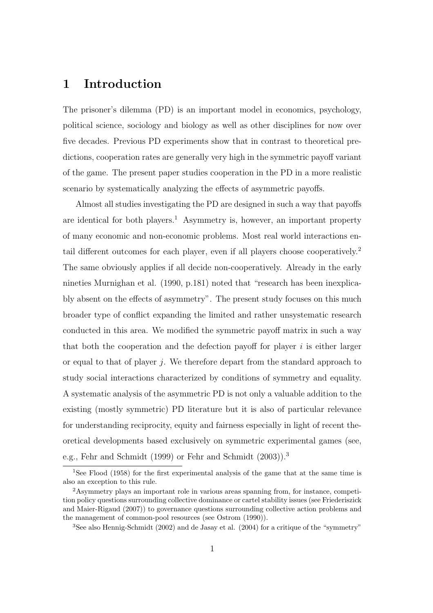# 1 Introduction

The prisoner's dilemma (PD) is an important model in economics, psychology, political science, sociology and biology as well as other disciplines for now over five decades. Previous PD experiments show that in contrast to theoretical predictions, cooperation rates are generally very high in the symmetric payoff variant of the game. The present paper studies cooperation in the PD in a more realistic scenario by systematically analyzing the effects of asymmetric payoffs.

Almost all studies investigating the PD are designed in such a way that payoffs are identical for both players.<sup>1</sup> Asymmetry is, however, an important property of many economic and non-economic problems. Most real world interactions entail different outcomes for each player, even if all players choose cooperatively.<sup>2</sup> The same obviously applies if all decide non-cooperatively. Already in the early nineties Murnighan et al. (1990, p.181) noted that "research has been inexplicably absent on the effects of asymmetry". The present study focuses on this much broader type of conflict expanding the limited and rather unsystematic research conducted in this area. We modified the symmetric payoff matrix in such a way that both the cooperation and the defection payoff for player  $i$  is either larger or equal to that of player j. We therefore depart from the standard approach to study social interactions characterized by conditions of symmetry and equality. A systematic analysis of the asymmetric PD is not only a valuable addition to the existing (mostly symmetric) PD literature but it is also of particular relevance for understanding reciprocity, equity and fairness especially in light of recent theoretical developments based exclusively on symmetric experimental games (see, e.g., Fehr and Schmidt (1999) or Fehr and Schmidt (2003)).<sup>3</sup>

<sup>1</sup>See Flood (1958) for the first experimental analysis of the game that at the same time is also an exception to this rule.

<sup>2</sup>Asymmetry plays an important role in various areas spanning from, for instance, competition policy questions surrounding collective dominance or cartel stability issues (see Friederiszick and Maier-Rigaud (2007)) to governance questions surrounding collective action problems and the management of common-pool resources (see Ostrom (1990)).

<sup>3</sup>See also Hennig-Schmidt (2002) and de Jasay et al. (2004) for a critique of the "symmetry"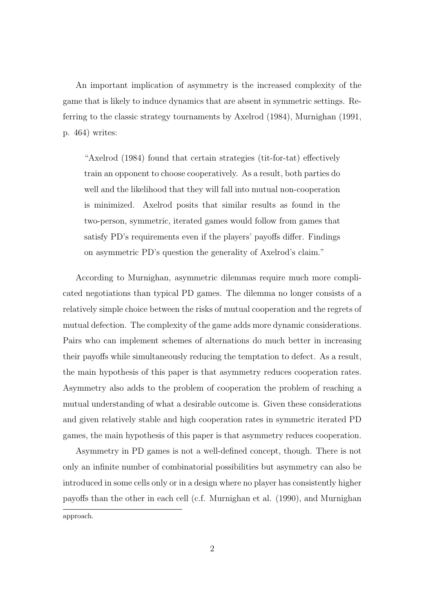An important implication of asymmetry is the increased complexity of the game that is likely to induce dynamics that are absent in symmetric settings. Referring to the classic strategy tournaments by Axelrod (1984), Murnighan (1991, p. 464) writes:

"Axelrod (1984) found that certain strategies (tit-for-tat) effectively train an opponent to choose cooperatively. As a result, both parties do well and the likelihood that they will fall into mutual non-cooperation is minimized. Axelrod posits that similar results as found in the two-person, symmetric, iterated games would follow from games that satisfy PD's requirements even if the players' payoffs differ. Findings on asymmetric PD's question the generality of Axelrod's claim."

According to Murnighan, asymmetric dilemmas require much more complicated negotiations than typical PD games. The dilemma no longer consists of a relatively simple choice between the risks of mutual cooperation and the regrets of mutual defection. The complexity of the game adds more dynamic considerations. Pairs who can implement schemes of alternations do much better in increasing their payoffs while simultaneously reducing the temptation to defect. As a result, the main hypothesis of this paper is that asymmetry reduces cooperation rates. Asymmetry also adds to the problem of cooperation the problem of reaching a mutual understanding of what a desirable outcome is. Given these considerations and given relatively stable and high cooperation rates in symmetric iterated PD games, the main hypothesis of this paper is that asymmetry reduces cooperation.

Asymmetry in PD games is not a well-defined concept, though. There is not only an infinite number of combinatorial possibilities but asymmetry can also be introduced in some cells only or in a design where no player has consistently higher payoffs than the other in each cell (c.f. Murnighan et al. (1990), and Murnighan

approach.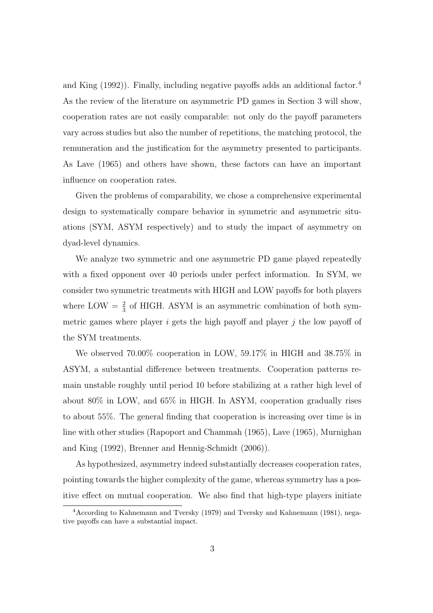and King (1992)). Finally, including negative payoffs adds an additional factor.<sup>4</sup> As the review of the literature on asymmetric PD games in Section 3 will show, cooperation rates are not easily comparable: not only do the payoff parameters vary across studies but also the number of repetitions, the matching protocol, the remuneration and the justification for the asymmetry presented to participants. As Lave (1965) and others have shown, these factors can have an important influence on cooperation rates.

Given the problems of comparability, we chose a comprehensive experimental design to systematically compare behavior in symmetric and asymmetric situations (SYM, ASYM respectively) and to study the impact of asymmetry on dyad-level dynamics.

We analyze two symmetric and one asymmetric PD game played repeatedly with a fixed opponent over 40 periods under perfect information. In SYM, we consider two symmetric treatments with HIGH and LOW payoffs for both players where LOW  $=\frac{2}{3}$  of HIGH. ASYM is an asymmetric combination of both symmetric games where player  $i$  gets the high payoff and player  $j$  the low payoff of the SYM treatments.

We observed 70.00% cooperation in LOW, 59.17% in HIGH and 38.75% in ASYM, a substantial difference between treatments. Cooperation patterns remain unstable roughly until period 10 before stabilizing at a rather high level of about 80% in LOW, and 65% in HIGH. In ASYM, cooperation gradually rises to about 55%. The general finding that cooperation is increasing over time is in line with other studies (Rapoport and Chammah (1965), Lave (1965), Murnighan and King (1992), Brenner and Hennig-Schmidt (2006)).

As hypothesized, asymmetry indeed substantially decreases cooperation rates, pointing towards the higher complexity of the game, whereas symmetry has a positive effect on mutual cooperation. We also find that high-type players initiate

<sup>4</sup>According to Kahnemann and Tversky (1979) and Tversky and Kahnemann (1981), negative payoffs can have a substantial impact.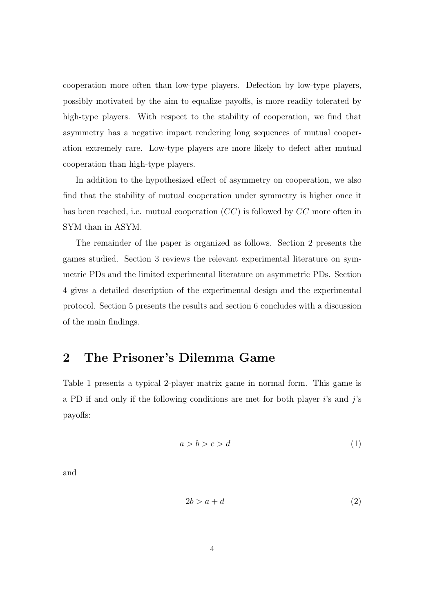cooperation more often than low-type players. Defection by low-type players, possibly motivated by the aim to equalize payoffs, is more readily tolerated by high-type players. With respect to the stability of cooperation, we find that asymmetry has a negative impact rendering long sequences of mutual cooperation extremely rare. Low-type players are more likely to defect after mutual cooperation than high-type players.

In addition to the hypothesized effect of asymmetry on cooperation, we also find that the stability of mutual cooperation under symmetry is higher once it has been reached, i.e. mutual cooperation  $(CC)$  is followed by CC more often in SYM than in ASYM.

The remainder of the paper is organized as follows. Section 2 presents the games studied. Section 3 reviews the relevant experimental literature on symmetric PDs and the limited experimental literature on asymmetric PDs. Section 4 gives a detailed description of the experimental design and the experimental protocol. Section 5 presents the results and section 6 concludes with a discussion of the main findings.

# 2 The Prisoner's Dilemma Game

Table 1 presents a typical 2-player matrix game in normal form. This game is a PD if and only if the following conditions are met for both player  $i$ 's and  $j$ 's payoffs:

$$
a > b > c > d \tag{1}
$$

and

$$
2b > a + d \tag{2}
$$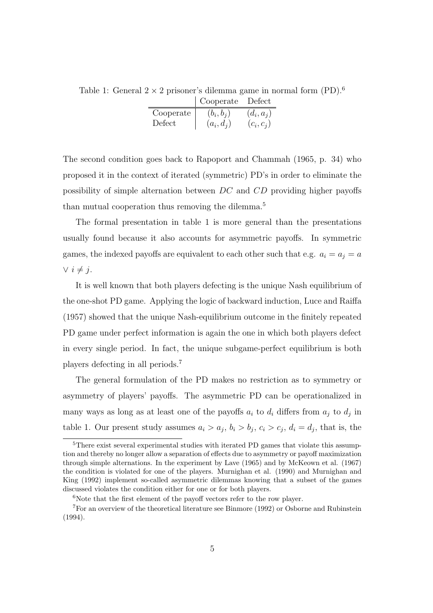Table 1: General  $2 \times 2$  prisoner's dilemma game in normal form (PD).<sup>6</sup>

|           | Cooperate    | Defect       |
|-----------|--------------|--------------|
| Cooperate | $(b_i, b_i)$ | $(d_i, a_j)$ |
| Defect    | $(a_i, d_j)$ | $(c_i, c_j)$ |

The second condition goes back to Rapoport and Chammah (1965, p. 34) who proposed it in the context of iterated (symmetric) PD's in order to eliminate the possibility of simple alternation between DC and CD providing higher payoffs than mutual cooperation thus removing the dilemma.<sup>5</sup>

The formal presentation in table 1 is more general than the presentations usually found because it also accounts for asymmetric payoffs. In symmetric games, the indexed payoffs are equivalent to each other such that e.g.  $a_i = a_j = a$  $∨ i ≠ j.$ 

It is well known that both players defecting is the unique Nash equilibrium of the one-shot PD game. Applying the logic of backward induction, Luce and Raiffa (1957) showed that the unique Nash-equilibrium outcome in the finitely repeated PD game under perfect information is again the one in which both players defect in every single period. In fact, the unique subgame-perfect equilibrium is both players defecting in all periods.<sup>7</sup>

The general formulation of the PD makes no restriction as to symmetry or asymmetry of players' payoffs. The asymmetric PD can be operationalized in many ways as long as at least one of the payoffs  $a_i$  to  $d_i$  differs from  $a_j$  to  $d_j$  in table 1. Our present study assumes  $a_i > a_j$ ,  $b_i > b_j$ ,  $c_i > c_j$ ,  $d_i = d_j$ , that is, the

<sup>5</sup>There exist several experimental studies with iterated PD games that violate this assumption and thereby no longer allow a separation of effects due to asymmetry or payoff maximization through simple alternations. In the experiment by Lave (1965) and by McKeown et al. (1967) the condition is violated for one of the players. Murnighan et al. (1990) and Murnighan and King (1992) implement so-called asymmetric dilemmas knowing that a subset of the games discussed violates the condition either for one or for both players.

 $6$ Note that the first element of the payoff vectors refer to the row player.

<sup>7</sup>For an overview of the theoretical literature see Binmore (1992) or Osborne and Rubinstein (1994).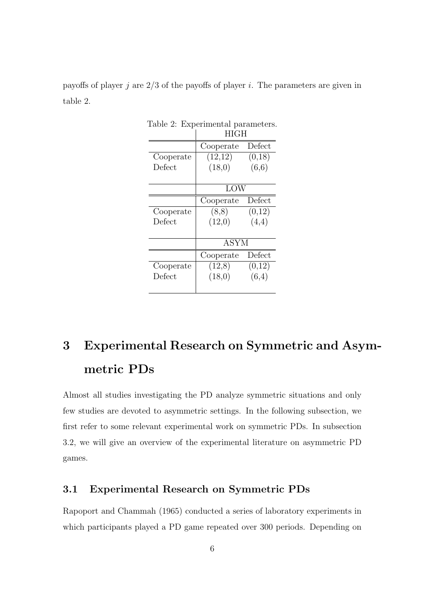payoffs of player j are  $2/3$  of the payoffs of player i. The parameters are given in table 2.

|              | HIGH        |        |  |  |
|--------------|-------------|--------|--|--|
|              | Cooperate   | Defect |  |  |
| Cooperate    | (12,12)     | (0,18) |  |  |
| Defect       | (18,0)      | (6,6)  |  |  |
|              | LOW         |        |  |  |
|              | Cooperate   | Defect |  |  |
| Cooperate    | (8,8)       | (0,12) |  |  |
| Defect       | (12,0)      | (4,4)  |  |  |
|              | <b>ASYM</b> |        |  |  |
|              | Cooperate   | Defect |  |  |
| Cooperate    | (12,8)      | (0,12) |  |  |
| $\rm Defect$ | (18,0)      | (6,4)  |  |  |
|              |             |        |  |  |

Table 2: Experimental parameters.

# 3 Experimental Research on Symmetric and Asymmetric PDs

Almost all studies investigating the PD analyze symmetric situations and only few studies are devoted to asymmetric settings. In the following subsection, we first refer to some relevant experimental work on symmetric PDs. In subsection 3.2, we will give an overview of the experimental literature on asymmetric PD games.

## 3.1 Experimental Research on Symmetric PDs

Rapoport and Chammah (1965) conducted a series of laboratory experiments in which participants played a PD game repeated over 300 periods. Depending on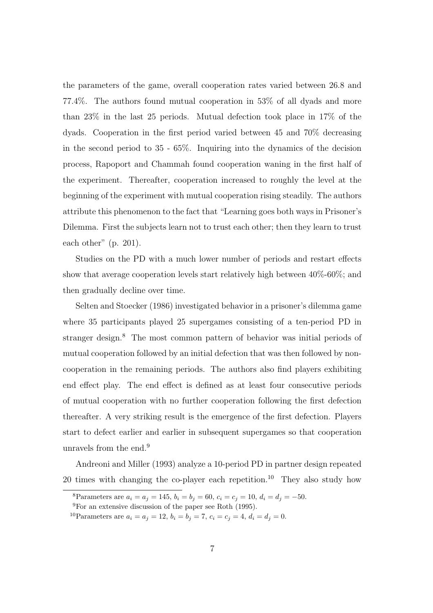the parameters of the game, overall cooperation rates varied between 26.8 and 77.4%. The authors found mutual cooperation in 53% of all dyads and more than 23% in the last 25 periods. Mutual defection took place in 17% of the dyads. Cooperation in the first period varied between 45 and 70% decreasing in the second period to 35 - 65%. Inquiring into the dynamics of the decision process, Rapoport and Chammah found cooperation waning in the first half of the experiment. Thereafter, cooperation increased to roughly the level at the beginning of the experiment with mutual cooperation rising steadily. The authors attribute this phenomenon to the fact that "Learning goes both ways in Prisoner's Dilemma. First the subjects learn not to trust each other; then they learn to trust each other" (p. 201).

Studies on the PD with a much lower number of periods and restart effects show that average cooperation levels start relatively high between 40%-60%; and then gradually decline over time.

Selten and Stoecker (1986) investigated behavior in a prisoner's dilemma game where 35 participants played 25 supergames consisting of a ten-period PD in stranger design.<sup>8</sup> The most common pattern of behavior was initial periods of mutual cooperation followed by an initial defection that was then followed by noncooperation in the remaining periods. The authors also find players exhibiting end effect play. The end effect is defined as at least four consecutive periods of mutual cooperation with no further cooperation following the first defection thereafter. A very striking result is the emergence of the first defection. Players start to defect earlier and earlier in subsequent supergames so that cooperation unravels from the end.<sup>9</sup>

Andreoni and Miller (1993) analyze a 10-period PD in partner design repeated 20 times with changing the co-player each repetition.<sup>10</sup> They also study how

<sup>8</sup>Parameters are  $a_i = a_j = 145$ ,  $b_i = b_j = 60$ ,  $c_i = c_j = 10$ ,  $d_i = d_j = -50$ .

<sup>9</sup>For an extensive discussion of the paper see Roth (1995).

<sup>&</sup>lt;sup>10</sup>Parameters are  $a_i = a_j = 12$ ,  $b_i = b_j = 7$ ,  $c_i = c_j = 4$ ,  $d_i = d_j = 0$ .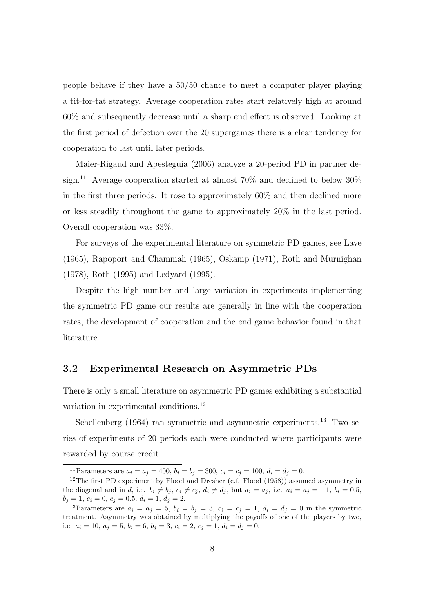people behave if they have a  $50/50$  chance to meet a computer player playing a tit-for-tat strategy. Average cooperation rates start relatively high at around 60% and subsequently decrease until a sharp end effect is observed. Looking at the first period of defection over the 20 supergames there is a clear tendency for cooperation to last until later periods.

Maier-Rigaud and Apesteguia (2006) analyze a 20-period PD in partner design.<sup>11</sup> Average cooperation started at almost  $70\%$  and declined to below  $30\%$ in the first three periods. It rose to approximately 60% and then declined more or less steadily throughout the game to approximately 20% in the last period. Overall cooperation was 33%.

For surveys of the experimental literature on symmetric PD games, see Lave (1965), Rapoport and Chammah (1965), Oskamp (1971), Roth and Murnighan (1978), Roth (1995) and Ledyard (1995).

Despite the high number and large variation in experiments implementing the symmetric PD game our results are generally in line with the cooperation rates, the development of cooperation and the end game behavior found in that literature.

## 3.2 Experimental Research on Asymmetric PDs

There is only a small literature on asymmetric PD games exhibiting a substantial variation in experimental conditions.<sup>12</sup>

Schellenberg (1964) ran symmetric and asymmetric experiments.<sup>13</sup> Two series of experiments of 20 periods each were conducted where participants were rewarded by course credit.

<sup>&</sup>lt;sup>11</sup>Parameters are  $a_i = a_j = 400$ ,  $b_i = b_j = 300$ ,  $c_i = c_j = 100$ ,  $d_i = d_j = 0$ .

<sup>&</sup>lt;sup>12</sup>The first PD experiment by Flood and Dresher (c.f. Flood  $(1958)$ ) assumed asymmetry in the diagonal and in d, i.e.  $b_i \neq b_j$ ,  $c_i \neq c_j$ ,  $d_i \neq d_j$ , but  $a_i = a_j$ , i.e.  $a_i = a_j = -1$ ,  $b_i = 0.5$ ,  $b_j = 1, c_i = 0, c_j = 0.5, d_i = 1, d_j = 2.$ 

<sup>&</sup>lt;sup>13</sup>Parameters are  $a_i = a_j = 5$ ,  $b_i = b_j = 3$ ,  $c_i = c_j = 1$ ,  $d_i = d_j = 0$  in the symmetric treatment. Asymmetry was obtained by multiplying the payoffs of one of the players by two, i.e.  $a_i = 10, a_j = 5, b_i = 6, b_j = 3, c_i = 2, c_j = 1, d_i = d_j = 0.$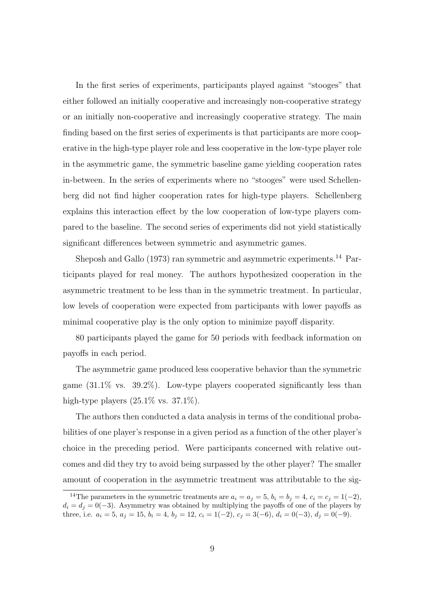In the first series of experiments, participants played against "stooges" that either followed an initially cooperative and increasingly non-cooperative strategy or an initially non-cooperative and increasingly cooperative strategy. The main finding based on the first series of experiments is that participants are more cooperative in the high-type player role and less cooperative in the low-type player role in the asymmetric game, the symmetric baseline game yielding cooperation rates in-between. In the series of experiments where no "stooges" were used Schellenberg did not find higher cooperation rates for high-type players. Schellenberg explains this interaction effect by the low cooperation of low-type players compared to the baseline. The second series of experiments did not yield statistically significant differences between symmetric and asymmetric games.

Sheposh and Gallo (1973) ran symmetric and asymmetric experiments.<sup>14</sup> Participants played for real money. The authors hypothesized cooperation in the asymmetric treatment to be less than in the symmetric treatment. In particular, low levels of cooperation were expected from participants with lower payoffs as minimal cooperative play is the only option to minimize payoff disparity.

80 participants played the game for 50 periods with feedback information on payoffs in each period.

The asymmetric game produced less cooperative behavior than the symmetric game  $(31.1\%$  vs.  $39.2\%)$ . Low-type players cooperated significantly less than high-type players  $(25.1\% \text{ vs. } 37.1\%).$ 

The authors then conducted a data analysis in terms of the conditional probabilities of one player's response in a given period as a function of the other player's choice in the preceding period. Were participants concerned with relative outcomes and did they try to avoid being surpassed by the other player? The smaller amount of cooperation in the asymmetric treatment was attributable to the sig-

<sup>&</sup>lt;sup>14</sup>The parameters in the symmetric treatments are  $a_i = a_j = 5$ ,  $b_i = b_j = 4$ ,  $c_i = c_j = 1(-2)$ ,  $d_i = d_j = 0(-3)$ . Asymmetry was obtained by multiplying the payoffs of one of the players by three, i.e.  $a_i = 5$ ,  $a_j = 15$ ,  $b_i = 4$ ,  $b_j = 12$ ,  $c_i = 1(-2)$ ,  $c_j = 3(-6)$ ,  $d_i = 0(-3)$ ,  $d_j = 0(-9)$ .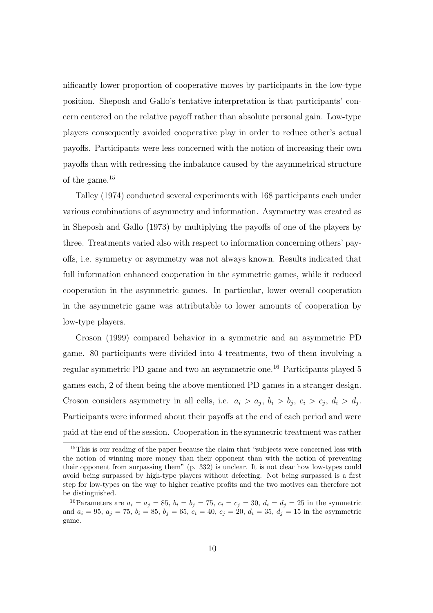nificantly lower proportion of cooperative moves by participants in the low-type position. Sheposh and Gallo's tentative interpretation is that participants' concern centered on the relative payoff rather than absolute personal gain. Low-type players consequently avoided cooperative play in order to reduce other's actual payoffs. Participants were less concerned with the notion of increasing their own payoffs than with redressing the imbalance caused by the asymmetrical structure of the game.<sup>15</sup>

Talley (1974) conducted several experiments with 168 participants each under various combinations of asymmetry and information. Asymmetry was created as in Sheposh and Gallo (1973) by multiplying the payoffs of one of the players by three. Treatments varied also with respect to information concerning others' payoffs, i.e. symmetry or asymmetry was not always known. Results indicated that full information enhanced cooperation in the symmetric games, while it reduced cooperation in the asymmetric games. In particular, lower overall cooperation in the asymmetric game was attributable to lower amounts of cooperation by low-type players.

Croson (1999) compared behavior in a symmetric and an asymmetric PD game. 80 participants were divided into 4 treatments, two of them involving a regular symmetric PD game and two an asymmetric one.<sup>16</sup> Participants played 5 games each, 2 of them being the above mentioned PD games in a stranger design. Croson considers asymmetry in all cells, i.e.  $a_i > a_j$ ,  $b_i > b_j$ ,  $c_i > c_j$ ,  $d_i > d_j$ . Participants were informed about their payoffs at the end of each period and were paid at the end of the session. Cooperation in the symmetric treatment was rather

<sup>&</sup>lt;sup>15</sup>This is our reading of the paper because the claim that "subjects were concerned less with the notion of winning more money than their opponent than with the notion of preventing their opponent from surpassing them" (p. 332) is unclear. It is not clear how low-types could avoid being surpassed by high-type players without defecting. Not being surpassed is a first step for low-types on the way to higher relative profits and the two motives can therefore not be distinguished.

<sup>&</sup>lt;sup>16</sup>Parameters are  $a_i = a_j = 85$ ,  $b_i = b_j = 75$ ,  $c_i = c_j = 30$ ,  $d_i = d_j = 25$  in the symmetric and  $a_i = 95$ ,  $a_j = 75$ ,  $b_i = 85$ ,  $b_j = 65$ ,  $c_i = 40$ ,  $c_j = 20$ ,  $d_i = 35$ ,  $d_j = 15$  in the asymmetric game.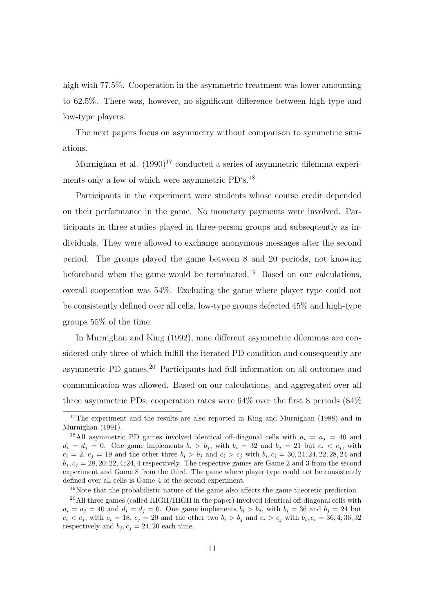high with 77.5%. Cooperation in the asymmetric treatment was lower amounting to 62.5%. There was, however, no significant difference between high-type and low-type players.

The next papers focus on asymmetry without comparison to symmetric situations.

Murnighan et al.  $(1990)^{17}$  conducted a series of asymmetric dilemma experiments only a few of which were asymmetric PD's.<sup>18</sup>

Participants in the experiment were students whose course credit depended on their performance in the game. No monetary payments were involved. Participants in three studies played in three-person groups and subsequently as individuals. They were allowed to exchange anonymous messages after the second period. The groups played the game between 8 and 20 periods, not knowing beforehand when the game would be terminated.<sup>19</sup> Based on our calculations, overall cooperation was 54%. Excluding the game where player type could not be consistently defined over all cells, low-type groups defected 45% and high-type groups 55% of the time.

In Murnighan and King (1992), nine different asymmetric dilemmas are considered only three of which fulfill the iterated PD condition and consequently are asymmetric PD games.<sup>20</sup> Participants had full information on all outcomes and communication was allowed. Based on our calculations, and aggregated over all three asymmetric PDs, cooperation rates were 64% over the first 8 periods (84%

<sup>19</sup>Note that the probabilistic nature of the game also affects the game theoretic prediction.

<sup>&</sup>lt;sup>17</sup>The experiment and the results are also reported in King and Murnighan (1988) and in Murnighan (1991).

<sup>&</sup>lt;sup>18</sup>All asymmetric PD games involved identical off-diagonal cells with  $a_i = a_j = 40$  and  $d_i = d_j = 0$ . One game implements  $b_i > b_j$ , with  $b_i = 32$  and  $b_j = 21$  but  $c_i < c_j$ , with  $c_i = 2, c_j = 19$  and the other three  $b_i > b_j$  and  $c_i > c_j$  with  $b_i, c_i = 30, 24, 24, 22, 28, 24$  and  $b_i, c_j = 28, 20, 22, 4, 24, 4$  respectively. The respective games are Game 2 and 3 from the second experiment and Game 8 from the third. The game where player type could not be consistently defined over all cells is Game 4 of the second experiment.

<sup>&</sup>lt;sup>20</sup>All three games (called HIGH/HIGH in the paper) involved identical off-diagonal cells with  $a_i = a_j = 40$  and  $d_i = d_j = 0$ . One game implements  $b_i > b_j$ , with  $b_i = 36$  and  $b_j = 24$  but  $c_i < c_j$ , with  $c_i = 18$ ,  $c_j = 20$  and the other two  $b_i > b_j$  and  $c_i > c_j$  with  $b_i, c_i = 36, 4; 36, 32$ respectively and  $b_i, c_j = 24, 20$  each time.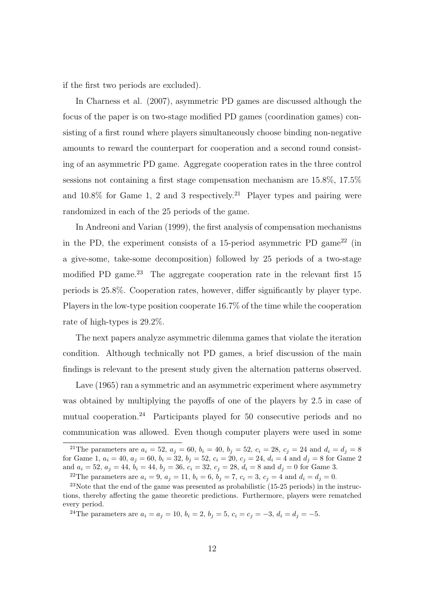if the first two periods are excluded).

In Charness et al. (2007), asymmetric PD games are discussed although the focus of the paper is on two-stage modified PD games (coordination games) consisting of a first round where players simultaneously choose binding non-negative amounts to reward the counterpart for cooperation and a second round consisting of an asymmetric PD game. Aggregate cooperation rates in the three control sessions not containing a first stage compensation mechanism are 15.8%, 17.5% and  $10.8\%$  for Game 1, 2 and 3 respectively.<sup>21</sup> Player types and pairing were randomized in each of the 25 periods of the game.

In Andreoni and Varian (1999), the first analysis of compensation mechanisms in the PD, the experiment consists of a 15-period asymmetric PD game<sup>22</sup> (in a give-some, take-some decomposition) followed by 25 periods of a two-stage modified PD game.<sup>23</sup> The aggregate cooperation rate in the relevant first  $15$ periods is 25.8%. Cooperation rates, however, differ significantly by player type. Players in the low-type position cooperate 16.7% of the time while the cooperation rate of high-types is 29.2%.

The next papers analyze asymmetric dilemma games that violate the iteration condition. Although technically not PD games, a brief discussion of the main findings is relevant to the present study given the alternation patterns observed.

Lave (1965) ran a symmetric and an asymmetric experiment where asymmetry was obtained by multiplying the payoffs of one of the players by 2.5 in case of mutual cooperation.<sup>24</sup> Participants played for 50 consecutive periods and no communication was allowed. Even though computer players were used in some

<sup>24</sup>The parameters are  $a_i = a_j = 10$ ,  $b_i = 2$ ,  $b_j = 5$ ,  $c_i = c_j = -3$ ,  $d_i = d_j = -5$ .

<sup>&</sup>lt;sup>21</sup>The parameters are  $a_i = 52$ ,  $a_j = 60$ ,  $b_i = 40$ ,  $b_j = 52$ ,  $c_i = 28$ ,  $c_j = 24$  and  $d_i = d_j = 8$ for Game 1,  $a_i = 40$ ,  $a_j = 60$ ,  $b_i = 32$ ,  $b_j = 52$ ,  $c_i = 20$ ,  $c_j = 24$ ,  $d_i = 4$  and  $d_j = 8$  for Game 2 and  $a_i = 52$ ,  $a_j = 44$ ,  $b_i = 44$ ,  $b_j = 36$ ,  $c_i = 32$ ,  $c_j = 28$ ,  $d_i = 8$  and  $d_j = 0$  for Game 3.

<sup>&</sup>lt;sup>22</sup>The parameters are  $a_i = 9$ ,  $a_j = 11$ ,  $b_i = 6$ ,  $b_j = 7$ ,  $c_i = 3$ ,  $c_j = 4$  and  $d_i = d_j = 0$ .

 $23$ Note that the end of the game was presented as probabilistic (15-25 periods) in the instructions, thereby affecting the game theoretic predictions. Furthermore, players were rematched every period.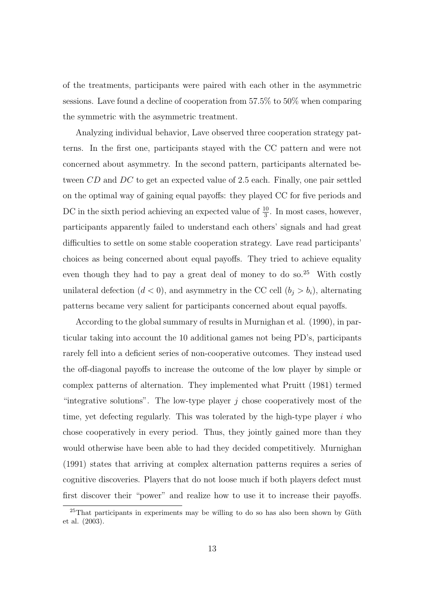of the treatments, participants were paired with each other in the asymmetric sessions. Lave found a decline of cooperation from 57.5% to 50% when comparing the symmetric with the asymmetric treatment.

Analyzing individual behavior, Lave observed three cooperation strategy patterns. In the first one, participants stayed with the CC pattern and were not concerned about asymmetry. In the second pattern, participants alternated between CD and DC to get an expected value of 2.5 each. Finally, one pair settled on the optimal way of gaining equal payoffs: they played CC for five periods and DC in the sixth period achieving an expected value of  $\frac{10}{3}$ . In most cases, however, participants apparently failed to understand each others' signals and had great difficulties to settle on some stable cooperation strategy. Lave read participants' choices as being concerned about equal payoffs. They tried to achieve equality even though they had to pay a great deal of money to do so.<sup>25</sup> With costly unilateral defection  $(d < 0)$ , and asymmetry in the CC cell  $(b_i > b_i)$ , alternating patterns became very salient for participants concerned about equal payoffs.

According to the global summary of results in Murnighan et al. (1990), in particular taking into account the 10 additional games not being PD's, participants rarely fell into a deficient series of non-cooperative outcomes. They instead used the off-diagonal payoffs to increase the outcome of the low player by simple or complex patterns of alternation. They implemented what Pruitt (1981) termed "integrative solutions". The low-type player  $j$  chose cooperatively most of the time, yet defecting regularly. This was tolerated by the high-type player  $i$  who chose cooperatively in every period. Thus, they jointly gained more than they would otherwise have been able to had they decided competitively. Murnighan (1991) states that arriving at complex alternation patterns requires a series of cognitive discoveries. Players that do not loose much if both players defect must first discover their "power" and realize how to use it to increase their payoffs.

 $^{25}$ That participants in experiments may be willing to do so has also been shown by Güth et al. (2003).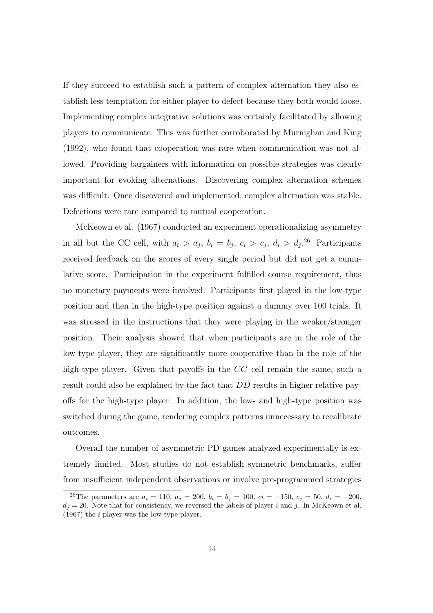If they succeed to establish such a pattern of complex alternation they also establish less temptation for either player to defect because they both would loose. Implementing complex integrative solutions was certainly facilitated by allowing players to communicate. This was further corroborated by Murnighan and King (1992), who found that cooperation was rare when communication was not allowed. Providing bargainers with information on possible strategies was clearly important for evoking alternations. Discovering complex alternation schemes was difficult. Once discovered and implemented, complex alternation was stable. Defections were rare compared to mutual cooperation.

McKeown et al. (1967) conducted an experiment operationalizing asymmetry in all but the CC cell, with  $a_i > a_j$ ,  $b_i = b_j$ ,  $c_i > c_j$ ,  $d_i > d_j$ .<sup>26</sup> Participants received feedback on the scores of every single period but did not get a cumulative score. Participation in the experiment fulfilled course requirement, thus no monetary payments were involved. Participants first played in the low-type position and then in the high-type position against a dummy over 100 trials. It was stressed in the instructions that they were playing in the weaker/stronger position. Their analysis showed that when participants are in the role of the low-type player, they are significantly more cooperative than in the role of the high-type player. Given that payoffs in the CC cell remain the same, such a result could also be explained by the fact that DD results in higher relative payoffs for the high-type player. In addition, the low- and high-type position was switched during the game, rendering complex patterns unnecessary to recalibrate outcomes.

Overall the number of asymmetric PD games analyzed experimentally is extremely limited. Most studies do not establish symmetric benchmarks, suffer from insufficient independent observations or involve pre-programmed strategies

<sup>&</sup>lt;sup>26</sup>The parameters are  $a_i = 110$ ,  $a_j = 200$ ,  $b_i = b_j = 100$ ,  $ci = -150$ ,  $c_j = 50$ ,  $d_i = -200$ ,  $d_j = 20$ . Note that for consistency, we reversed the labels of player i and j. In McKeown et al. (1967) the i player was the low-type player.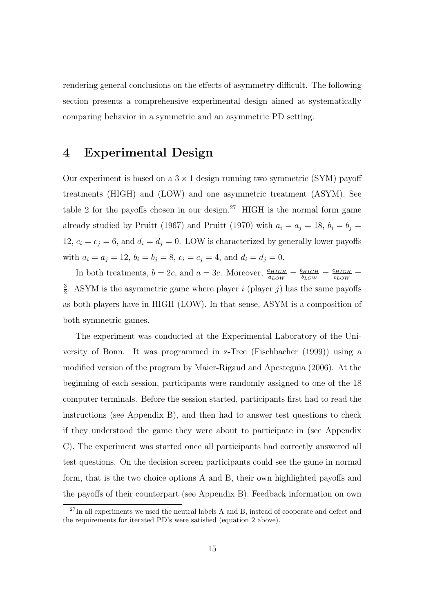rendering general conclusions on the effects of asymmetry difficult. The following section presents a comprehensive experimental design aimed at systematically comparing behavior in a symmetric and an asymmetric PD setting.

# 4 Experimental Design

Our experiment is based on a  $3 \times 1$  design running two symmetric (SYM) payoff treatments (HIGH) and (LOW) and one asymmetric treatment (ASYM). See table 2 for the payoffs chosen in our design.<sup>27</sup> HIGH is the normal form game already studied by Pruitt (1967) and Pruitt (1970) with  $a_i = a_j = 18$ ,  $b_i = b_j =$ 12,  $c_i = c_j = 6$ , and  $d_i = d_j = 0$ . LOW is characterized by generally lower payoffs with  $a_i = a_j = 12$ ,  $b_i = b_j = 8$ ,  $c_i = c_j = 4$ , and  $d_i = d_j = 0$ .

In both treatments,  $b = 2c$ , and  $a = 3c$ . Moreover,  $\frac{a_{HIGH}}{a_{LOW}} = \frac{b_{HIGH}}{b_{LOW}}$  $\frac{b_{HIGH}}{b_{LOW}} = \frac{c_{HIGH}}{c_{LOW}}$  $\frac{c_{HIGH}}{c_{LOW}} =$ 3  $\frac{3}{2}$ . ASYM is the asymmetric game where player *i* (player *j*) has the same payoffs as both players have in HIGH (LOW). In that sense, ASYM is a composition of both symmetric games.

The experiment was conducted at the Experimental Laboratory of the University of Bonn. It was programmed in z-Tree (Fischbacher (1999)) using a modified version of the program by Maier-Rigaud and Apesteguia (2006). At the beginning of each session, participants were randomly assigned to one of the 18 computer terminals. Before the session started, participants first had to read the instructions (see Appendix B), and then had to answer test questions to check if they understood the game they were about to participate in (see Appendix C). The experiment was started once all participants had correctly answered all test questions. On the decision screen participants could see the game in normal form, that is the two choice options A and B, their own highlighted payoffs and the payoffs of their counterpart (see Appendix B). Feedback information on own

 $^{27}$ In all experiments we used the neutral labels A and B, instead of cooperate and defect and the requirements for iterated PD's were satisfied (equation 2 above).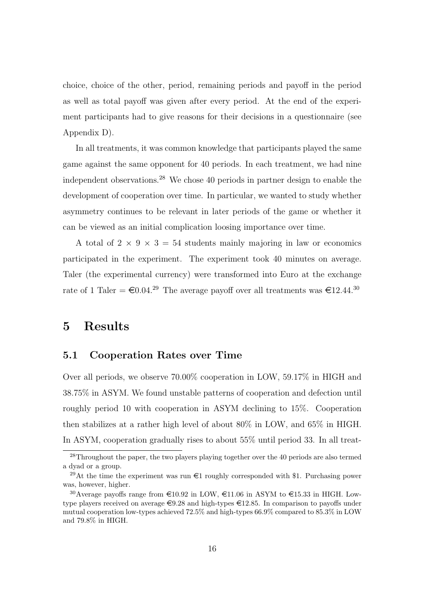choice, choice of the other, period, remaining periods and payoff in the period as well as total payoff was given after every period. At the end of the experiment participants had to give reasons for their decisions in a questionnaire (see Appendix D).

In all treatments, it was common knowledge that participants played the same game against the same opponent for 40 periods. In each treatment, we had nine independent observations.<sup>28</sup> We chose 40 periods in partner design to enable the development of cooperation over time. In particular, we wanted to study whether asymmetry continues to be relevant in later periods of the game or whether it can be viewed as an initial complication loosing importance over time.

A total of  $2 \times 9 \times 3 = 54$  students mainly majoring in law or economics participated in the experiment. The experiment took 40 minutes on average. Taler (the experimental currency) were transformed into Euro at the exchange rate of 1 Taler =  $\epsilon 0.04^{29}$  The average payoff over all treatments was  $\epsilon 12.44^{30}$ 

# 5 Results

### 5.1 Cooperation Rates over Time

Over all periods, we observe 70.00% cooperation in LOW, 59.17% in HIGH and 38.75% in ASYM. We found unstable patterns of cooperation and defection until roughly period 10 with cooperation in ASYM declining to 15%. Cooperation then stabilizes at a rather high level of about 80% in LOW, and 65% in HIGH. In ASYM, cooperation gradually rises to about 55% until period 33. In all treat-

<sup>&</sup>lt;sup>28</sup>Throughout the paper, the two players playing together over the 40 periods are also termed a dyad or a group.

<sup>&</sup>lt;sup>29</sup>At the time the experiment was run  $\epsilon$ 1 roughly corresponded with \$1. Purchasing power was, however, higher.

<sup>&</sup>lt;sup>30</sup>Average payoffs range from  $\epsilon$ 10.92 in LOW,  $\epsilon$ 11.06 in ASYM to  $\epsilon$ 15.33 in HIGH. Lowtype players received on average  $\epsilon$ 9.28 and high-types  $\epsilon$ 12.85. In comparison to payoffs under mutual cooperation low-types achieved 72.5% and high-types 66.9% compared to 85.3% in LOW and 79.8% in HIGH.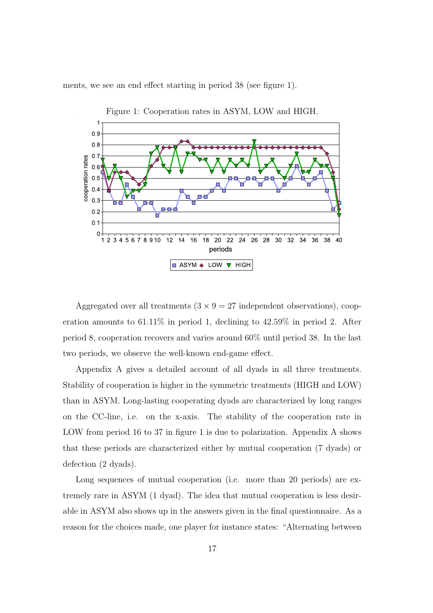ments, we see an end effect starting in period 38 (see figure 1).



Aggregated over all treatments  $(3 \times 9 = 27$  independent observations), cooperation amounts to 61.11% in period 1, declining to 42.59% in period 2. After period 8, cooperation recovers and varies around 60% until period 38. In the last two periods, we observe the well-known end-game effect.

Appendix A gives a detailed account of all dyads in all three treatments. Stability of cooperation is higher in the symmetric treatments (HIGH and LOW) than in ASYM. Long-lasting cooperating dyads are characterized by long ranges on the CC-line, i.e. on the x-axis. The stability of the cooperation rate in LOW from period 16 to 37 in figure 1 is due to polarization. Appendix A shows that these periods are characterized either by mutual cooperation (7 dyads) or defection (2 dyads).

Long sequences of mutual cooperation (i.e. more than 20 periods) are extremely rare in ASYM (1 dyad). The idea that mutual cooperation is less desirable in ASYM also shows up in the answers given in the final questionnaire. As a reason for the choices made, one player for instance states: "Alternating between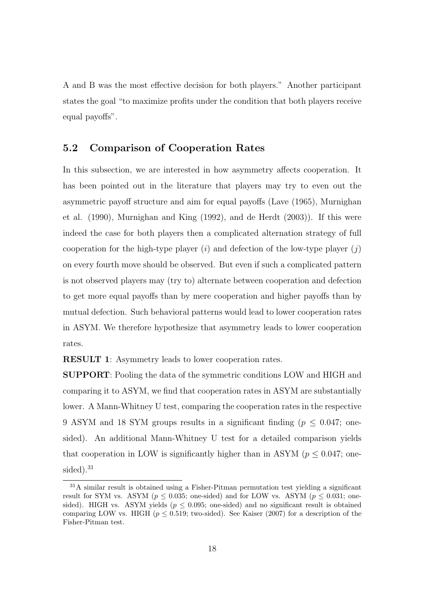A and B was the most effective decision for both players." Another participant states the goal "to maximize profits under the condition that both players receive equal payoffs".

## 5.2 Comparison of Cooperation Rates

In this subsection, we are interested in how asymmetry affects cooperation. It has been pointed out in the literature that players may try to even out the asymmetric payoff structure and aim for equal payoffs (Lave (1965), Murnighan et al. (1990), Murnighan and King (1992), and de Herdt (2003)). If this were indeed the case for both players then a complicated alternation strategy of full cooperation for the high-type player  $(i)$  and defection of the low-type player  $(j)$ on every fourth move should be observed. But even if such a complicated pattern is not observed players may (try to) alternate between cooperation and defection to get more equal payoffs than by mere cooperation and higher payoffs than by mutual defection. Such behavioral patterns would lead to lower cooperation rates in ASYM. We therefore hypothesize that asymmetry leads to lower cooperation rates.

RESULT 1: Asymmetry leads to lower cooperation rates.

SUPPORT: Pooling the data of the symmetric conditions LOW and HIGH and comparing it to ASYM, we find that cooperation rates in ASYM are substantially lower. A Mann-Whitney U test, comparing the cooperation rates in the respective 9 ASYM and 18 SYM groups results in a significant finding ( $p \leq 0.047$ ; onesided). An additional Mann-Whitney U test for a detailed comparison yields that cooperation in LOW is significantly higher than in ASYM ( $p \leq 0.047$ ; onesided).<sup>31</sup>

 $31A$  similar result is obtained using a Fisher-Pitman permutation test yielding a significant result for SYM vs. ASYM ( $p \le 0.035$ ; one-sided) and for LOW vs. ASYM ( $p \le 0.031$ ; onesided). HIGH vs. ASYM yields ( $p \leq 0.095$ ; one-sided) and no significant result is obtained comparing LOW vs. HIGH ( $p \leq 0.519$ ; two-sided). See Kaiser (2007) for a description of the Fisher-Pitman test.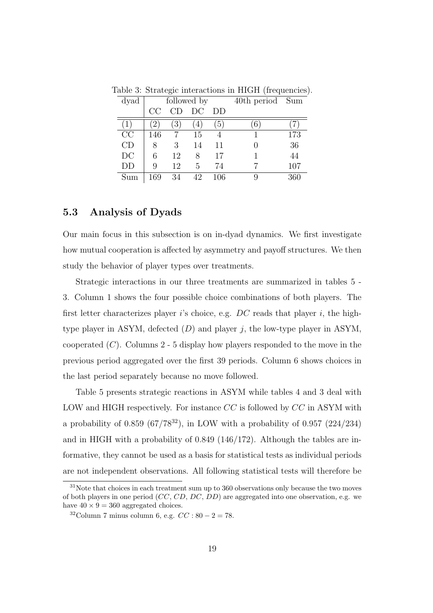| dyad | followed by    |                |                   |                  | 40th period Sum |     |
|------|----------------|----------------|-------------------|------------------|-----------------|-----|
|      | CC             |                | DС                | DD               |                 |     |
|      | $\overline{2}$ | $\overline{3}$ | $\left( 4\right)$ | $\left(5\right)$ | $6^{\circ}$     |     |
| CC   | 146            |                | 15                |                  |                 | 173 |
| CD   | 8              | 3              | 14                | 11               | 0               | 36  |
| DC   | 6              | 12             | 8                 | 17               |                 | 44  |
| DD   | 9              | 12             | 5                 | 74               |                 | 107 |
| Sum  | 169            | 34             | 42                | 106              | 9               | 360 |

Table 3: Strategic interactions in HIGH (frequencies).

## 5.3 Analysis of Dyads

Our main focus in this subsection is on in-dyad dynamics. We first investigate how mutual cooperation is affected by asymmetry and payoff structures. We then study the behavior of player types over treatments.

Strategic interactions in our three treatments are summarized in tables 5 - 3. Column 1 shows the four possible choice combinations of both players. The first letter characterizes player is choice, e.g.  $DC$  reads that player i, the hightype player in ASYM, defected  $(D)$  and player j, the low-type player in ASYM, cooperated  $(C)$ . Columns 2 - 5 display how players responded to the move in the previous period aggregated over the first 39 periods. Column 6 shows choices in the last period separately because no move followed.

Table 5 presents strategic reactions in ASYM while tables 4 and 3 deal with LOW and HIGH respectively. For instance  $CC$  is followed by  $CC$  in ASYM with a probability of 0.859 (67/78<sup>32</sup>), in LOW with a probability of 0.957 (224/234) and in HIGH with a probability of 0.849 (146/172). Although the tables are informative, they cannot be used as a basis for statistical tests as individual periods are not independent observations. All following statistical tests will therefore be

<sup>31</sup>Note that choices in each treatment sum up to 360 observations only because the two moves of both players in one period (CC, CD, DC, DD) are aggregated into one observation, e.g. we have  $40 \times 9 = 360$  aggregated choices.

 $32$ Column 7 minus column 6, e.g.  $CC : 80 - 2 = 78$ .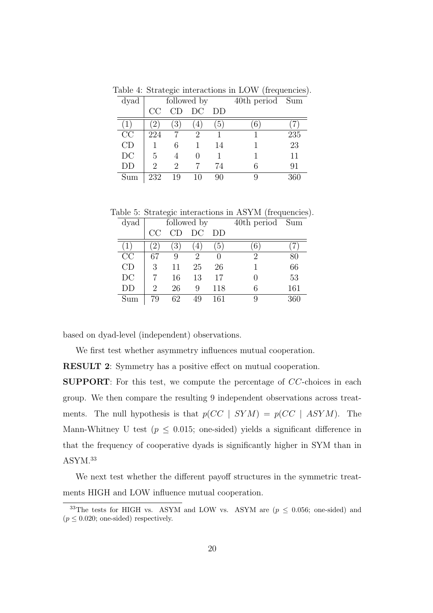| dyad | followed by    |                  |    |                  | 40th period Sum |     |
|------|----------------|------------------|----|------------------|-----------------|-----|
|      | CC             | CD               | DС | DD               |                 |     |
|      | $\overline{2}$ | $\left(3\right)$ | 4, | $\left(5\right)$ | $6^{\circ}$     |     |
| CC   | 224            |                  | 2  |                  |                 | 235 |
| CD   |                | 6                |    | 14               |                 | 23  |
| DC   | 5              |                  | 0  |                  |                 | 11  |
| DD   | 2              | 2                |    | 74               | 6               | 91  |
| Sum  | 232            | 19               | 10 | 90               | 9               | 360 |

Table 4: Strategic interactions in LOW (frequencies).

Table 5: Strategic interactions in ASYM (frequencies).

| dyad |                   | followed by      |    |                  | 40th period       | Sum |
|------|-------------------|------------------|----|------------------|-------------------|-----|
|      | CC                | CD               | DC | DD               |                   |     |
|      | $\left( 2\right)$ | $\left(3\right)$ | 4, | $\left(5\right)$ | $\left( 6\right)$ |     |
| CC   | 67                | 9                | 2  | 0                | 2                 | 80  |
| CD   | 3                 | 11               | 25 | 26               |                   | 66  |
| DC   |                   | 16               | 13 | 17               | 0                 | 53  |
| DD   | 2                 | 26               | 9  | 118              | 6                 | 161 |
| Sum  | 79                | 62               | 49 | 161              | 9                 | 360 |

based on dyad-level (independent) observations.

We first test whether asymmetry influences mutual cooperation.

RESULT 2: Symmetry has a positive effect on mutual cooperation.

SUPPORT: For this test, we compute the percentage of CC-choices in each group. We then compare the resulting 9 independent observations across treatments. The null hypothesis is that  $p(CC | SYM) = p(CC | ASYM)$ . The Mann-Whitney U test ( $p \leq 0.015$ ; one-sided) yields a significant difference in that the frequency of cooperative dyads is significantly higher in SYM than in ASYM.<sup>33</sup>

We next test whether the different payoff structures in the symmetric treatments HIGH and LOW influence mutual cooperation.

<sup>&</sup>lt;sup>33</sup>The tests for HIGH vs. ASYM and LOW vs. ASYM are  $(p \le 0.056$ ; one-sided) and  $(p \leq 0.020;$  one-sided) respectively.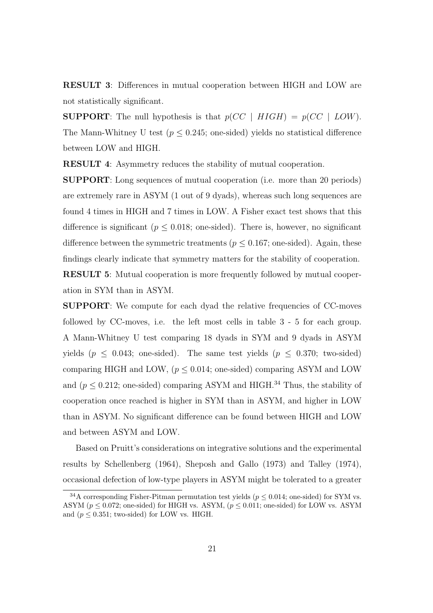RESULT 3: Differences in mutual cooperation between HIGH and LOW are not statistically significant.

**SUPPORT:** The null hypothesis is that  $p(CC \mid HIGH) = p(CC \mid LOW)$ . The Mann-Whitney U test ( $p \leq 0.245$ ; one-sided) yields no statistical difference between LOW and HIGH.

RESULT 4: Asymmetry reduces the stability of mutual cooperation.

SUPPORT: Long sequences of mutual cooperation (i.e. more than 20 periods) are extremely rare in ASYM (1 out of 9 dyads), whereas such long sequences are found 4 times in HIGH and 7 times in LOW. A Fisher exact test shows that this difference is significant ( $p \leq 0.018$ ; one-sided). There is, however, no significant difference between the symmetric treatments ( $p \leq 0.167$ ; one-sided). Again, these findings clearly indicate that symmetry matters for the stability of cooperation. RESULT 5: Mutual cooperation is more frequently followed by mutual cooperation in SYM than in ASYM.

SUPPORT: We compute for each dyad the relative frequencies of CC-moves followed by CC-moves, i.e. the left most cells in table 3 - 5 for each group. A Mann-Whitney U test comparing 18 dyads in SYM and 9 dyads in ASYM yields ( $p \leq 0.043$ ; one-sided). The same test yields ( $p \leq 0.370$ ; two-sided) comparing HIGH and LOW,  $(p \leq 0.014;$  one-sided) comparing ASYM and LOW and ( $p \leq 0.212$ ; one-sided) comparing ASYM and HIGH.<sup>34</sup> Thus, the stability of cooperation once reached is higher in SYM than in ASYM, and higher in LOW than in ASYM. No significant difference can be found between HIGH and LOW and between ASYM and LOW.

Based on Pruitt's considerations on integrative solutions and the experimental results by Schellenberg (1964), Sheposh and Gallo (1973) and Talley (1974), occasional defection of low-type players in ASYM might be tolerated to a greater

<sup>&</sup>lt;sup>34</sup>A corresponding Fisher-Pitman permutation test yields ( $p \leq 0.014$ ; one-sided) for SYM vs. ASYM ( $p \leq 0.072$ ; one-sided) for HIGH vs. ASYM, ( $p \leq 0.011$ ; one-sided) for LOW vs. ASYM and  $(p < 0.351$ ; two-sided) for LOW vs. HIGH.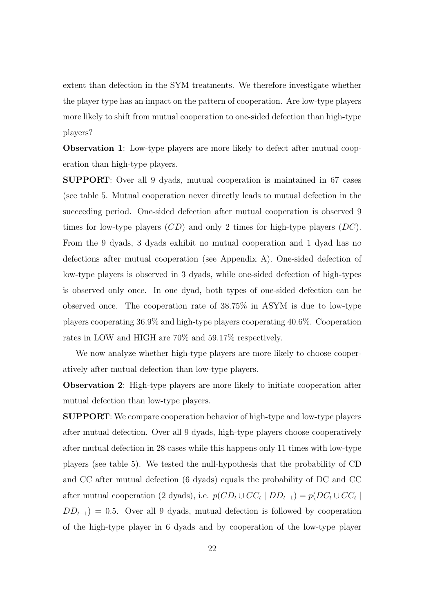extent than defection in the SYM treatments. We therefore investigate whether the player type has an impact on the pattern of cooperation. Are low-type players more likely to shift from mutual cooperation to one-sided defection than high-type players?

Observation 1: Low-type players are more likely to defect after mutual cooperation than high-type players.

SUPPORT: Over all 9 dyads, mutual cooperation is maintained in 67 cases (see table 5. Mutual cooperation never directly leads to mutual defection in the succeeding period. One-sided defection after mutual cooperation is observed 9 times for low-type players  $(CD)$  and only 2 times for high-type players  $(DC)$ . From the 9 dyads, 3 dyads exhibit no mutual cooperation and 1 dyad has no defections after mutual cooperation (see Appendix A). One-sided defection of low-type players is observed in 3 dyads, while one-sided defection of high-types is observed only once. In one dyad, both types of one-sided defection can be observed once. The cooperation rate of 38.75% in ASYM is due to low-type players cooperating 36.9% and high-type players cooperating 40.6%. Cooperation rates in LOW and HIGH are 70% and 59.17% respectively.

We now analyze whether high-type players are more likely to choose cooperatively after mutual defection than low-type players.

Observation 2: High-type players are more likely to initiate cooperation after mutual defection than low-type players.

SUPPORT: We compare cooperation behavior of high-type and low-type players after mutual defection. Over all 9 dyads, high-type players choose cooperatively after mutual defection in 28 cases while this happens only 11 times with low-type players (see table 5). We tested the null-hypothesis that the probability of CD and CC after mutual defection (6 dyads) equals the probability of DC and CC after mutual cooperation (2 dyads), i.e.  $p(CD_t \cup CC_t | DD_{t-1}) = p(DC_t \cup CC_t |$  $DD_{t-1}$ ) = 0.5. Over all 9 dyads, mutual defection is followed by cooperation of the high-type player in 6 dyads and by cooperation of the low-type player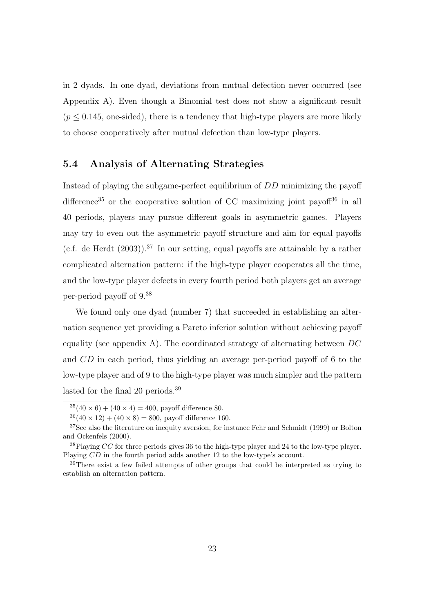in 2 dyads. In one dyad, deviations from mutual defection never occurred (see Appendix A). Even though a Binomial test does not show a significant result  $(p < 0.145$ , one-sided), there is a tendency that high-type players are more likely to choose cooperatively after mutual defection than low-type players.

## 5.4 Analysis of Alternating Strategies

Instead of playing the subgame-perfect equilibrium of DD minimizing the payoff difference<sup>35</sup> or the cooperative solution of CC maximizing joint payof<sup>436</sup> in all 40 periods, players may pursue different goals in asymmetric games. Players may try to even out the asymmetric payoff structure and aim for equal payoffs (c.f. de Herdt  $(2003)$ ).<sup>37</sup> In our setting, equal payoffs are attainable by a rather complicated alternation pattern: if the high-type player cooperates all the time, and the low-type player defects in every fourth period both players get an average per-period payoff of 9.<sup>38</sup>

We found only one dyad (number 7) that succeeded in establishing an alternation sequence yet providing a Pareto inferior solution without achieving payoff equality (see appendix A). The coordinated strategy of alternating between  $DC$ and CD in each period, thus yielding an average per-period payoff of 6 to the low-type player and of 9 to the high-type player was much simpler and the pattern lasted for the final 20 periods.<sup>39</sup>

 $35(40 \times 6) + (40 \times 4) = 400$ , payoff difference 80.

 $36(40 \times 12) + (40 \times 8) = 800$ , payoff difference 160.

<sup>&</sup>lt;sup>37</sup>See also the literature on inequity aversion, for instance Fehr and Schmidt (1999) or Bolton and Ockenfels (2000).

 $38$ Playing CC for three periods gives 36 to the high-type player and 24 to the low-type player. Playing CD in the fourth period adds another 12 to the low-type's account.

<sup>39</sup>There exist a few failed attempts of other groups that could be interpreted as trying to establish an alternation pattern.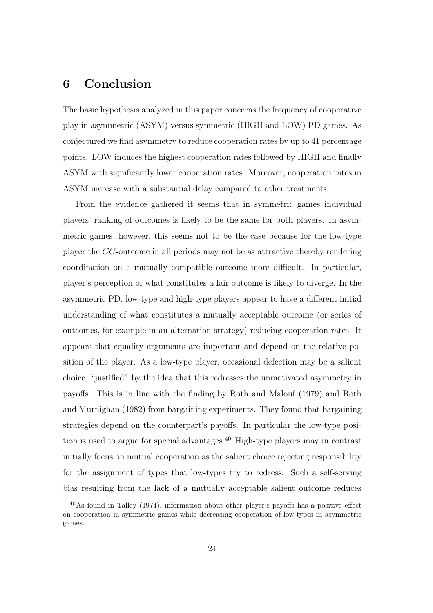# 6 Conclusion

The basic hypothesis analyzed in this paper concerns the frequency of cooperative play in asymmetric (ASYM) versus symmetric (HIGH and LOW) PD games. As conjectured we find asymmetry to reduce cooperation rates by up to 41 percentage points. LOW induces the highest cooperation rates followed by HIGH and finally ASYM with significantly lower cooperation rates. Moreover, cooperation rates in ASYM increase with a substantial delay compared to other treatments.

From the evidence gathered it seems that in symmetric games individual players' ranking of outcomes is likely to be the same for both players. In asymmetric games, however, this seems not to be the case because for the low-type player the CC-outcome in all periods may not be as attractive thereby rendering coordination on a mutually compatible outcome more difficult. In particular, player's perception of what constitutes a fair outcome is likely to diverge. In the asymmetric PD, low-type and high-type players appear to have a different initial understanding of what constitutes a mutually acceptable outcome (or series of outcomes, for example in an alternation strategy) reducing cooperation rates. It appears that equality arguments are important and depend on the relative position of the player. As a low-type player, occasional defection may be a salient choice, "justified" by the idea that this redresses the unmotivated asymmetry in payoffs. This is in line with the finding by Roth and Malouf (1979) and Roth and Murnighan (1982) from bargaining experiments. They found that bargaining strategies depend on the counterpart's payoffs. In particular the low-type position is used to argue for special advantages.<sup>40</sup> High-type players may in contrast initially focus on mutual cooperation as the salient choice rejecting responsibility for the assignment of types that low-types try to redress. Such a self-serving bias resulting from the lack of a mutually acceptable salient outcome reduces

<sup>40</sup>As found in Talley (1974), information about other player's payoffs has a positive effect on cooperation in symmetric games while decreasing cooperation of low-types in asymmetric games.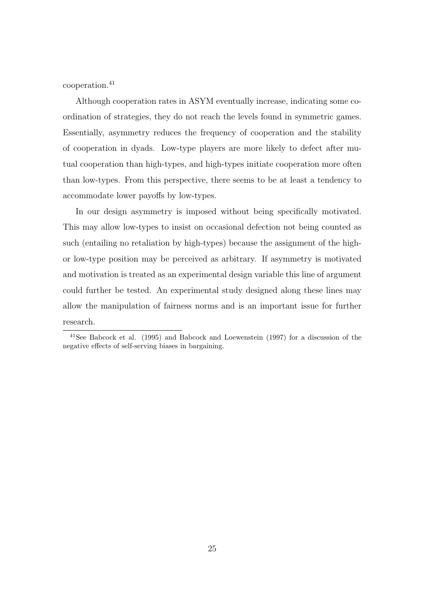cooperation.<sup>41</sup>

Although cooperation rates in ASYM eventually increase, indicating some coordination of strategies, they do not reach the levels found in symmetric games. Essentially, asymmetry reduces the frequency of cooperation and the stability of cooperation in dyads. Low-type players are more likely to defect after mutual cooperation than high-types, and high-types initiate cooperation more often than low-types. From this perspective, there seems to be at least a tendency to accommodate lower payoffs by low-types.

In our design asymmetry is imposed without being specifically motivated. This may allow low-types to insist on occasional defection not being counted as such (entailing no retaliation by high-types) because the assignment of the highor low-type position may be perceived as arbitrary. If asymmetry is motivated and motivation is treated as an experimental design variable this line of argument could further be tested. An experimental study designed along these lines may allow the manipulation of fairness norms and is an important issue for further research.

<sup>41</sup>See Babcock et al. (1995) and Babcock and Loewenstein (1997) for a discussion of the negative effects of self-serving biases in bargaining.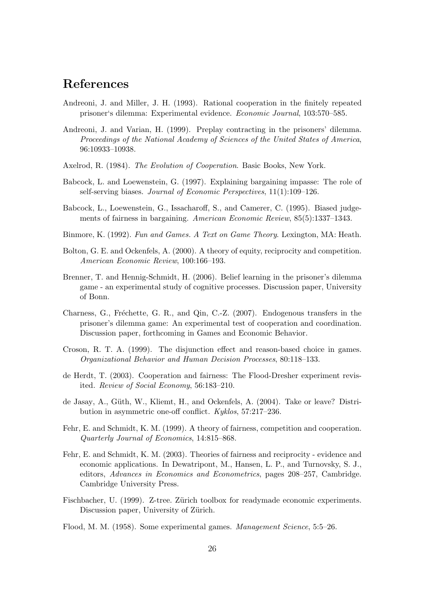# References

- Andreoni, J. and Miller, J. H. (1993). Rational cooperation in the finitely repeated prisoner's dilemma: Experimental evidence. Economic Journal, 103:570–585.
- Andreoni, J. and Varian, H. (1999). Preplay contracting in the prisoners' dilemma. Proceedings of the National Academy of Sciences of the United States of America, 96:10933–10938.
- Axelrod, R. (1984). The Evolution of Cooperation. Basic Books, New York.
- Babcock, L. and Loewenstein, G. (1997). Explaining bargaining impasse: The role of self-serving biases. Journal of Economic Perspectives, 11(1):109–126.
- Babcock, L., Loewenstein, G., Issacharoff, S., and Camerer, C. (1995). Biased judgements of fairness in bargaining. American Economic Review, 85(5):1337–1343.
- Binmore, K. (1992). Fun and Games. A Text on Game Theory. Lexington, MA: Heath.
- Bolton, G. E. and Ockenfels, A. (2000). A theory of equity, reciprocity and competition. American Economic Review, 100:166–193.
- Brenner, T. and Hennig-Schmidt, H. (2006). Belief learning in the prisoner's dilemma game - an experimental study of cognitive processes. Discussion paper, University of Bonn.
- Charness, G., Fréchette, G. R., and Qin, C.-Z. (2007). Endogenous transfers in the prisoner's dilemma game: An experimental test of cooperation and coordination. Discussion paper, forthcoming in Games and Economic Behavior.
- Croson, R. T. A. (1999). The disjunction effect and reason-based choice in games. Organizational Behavior and Human Decision Processes, 80:118–133.
- de Herdt, T. (2003). Cooperation and fairness: The Flood-Dresher experiment revisited. Review of Social Economy, 56:183–210.
- de Jasay, A., Güth, W., Kliemt, H., and Ockenfels, A. (2004). Take or leave? Distribution in asymmetric one-off conflict. Kyklos, 57:217–236.
- Fehr, E. and Schmidt, K. M. (1999). A theory of fairness, competition and cooperation. Quarterly Journal of Economics, 14:815–868.
- Fehr, E. and Schmidt, K. M. (2003). Theories of fairness and reciprocity evidence and economic applications. In Dewatripont, M., Hansen, L. P., and Turnovsky, S. J., editors, Advances in Economics and Econometrics, pages 208–257, Cambridge. Cambridge University Press.
- Fischbacher, U. (1999). Z-tree. Zürich toolbox for readymade economic experiments. Discussion paper, University of Zürich.
- Flood, M. M. (1958). Some experimental games. Management Science, 5:5–26.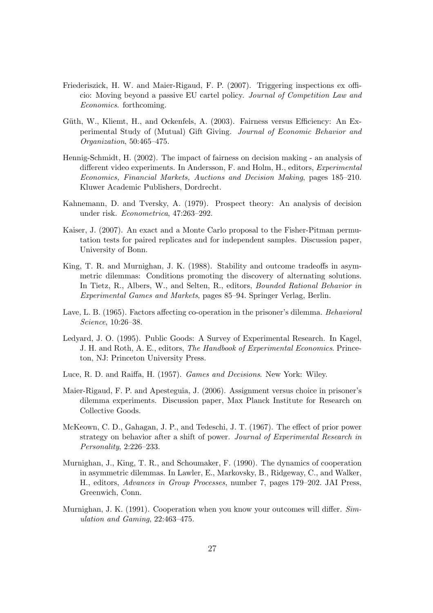- Friederiszick, H. W. and Maier-Rigaud, F. P. (2007). Triggering inspections ex officio: Moving beyond a passive EU cartel policy. Journal of Competition Law and Economics. forthcoming.
- Güth, W., Kliemt, H., and Ockenfels, A. (2003). Fairness versus Efficiency: An Experimental Study of (Mutual) Gift Giving. Journal of Economic Behavior and Organization, 50:465–475.
- Hennig-Schmidt, H. (2002). The impact of fairness on decision making an analysis of different video experiments. In Andersson, F. and Holm, H., editors, Experimental Economics, Financial Markets, Auctions and Decision Making, pages 185–210. Kluwer Academic Publishers, Dordrecht.
- Kahnemann, D. and Tversky, A. (1979). Prospect theory: An analysis of decision under risk. Econometrica, 47:263–292.
- Kaiser, J. (2007). An exact and a Monte Carlo proposal to the Fisher-Pitman permutation tests for paired replicates and for independent samples. Discussion paper, University of Bonn.
- King, T. R. and Murnighan, J. K. (1988). Stability and outcome tradeoffs in asymmetric dilemmas: Conditions promoting the discovery of alternating solutions. In Tietz, R., Albers, W., and Selten, R., editors, Bounded Rational Behavior in Experimental Games and Markets, pages 85–94. Springer Verlag, Berlin.
- Lave, L. B. (1965). Factors affecting co-operation in the prisoner's dilemma. Behavioral Science, 10:26–38.
- Ledyard, J. O. (1995). Public Goods: A Survey of Experimental Research. In Kagel, J. H. and Roth, A. E., editors, The Handbook of Experimental Economics. Princeton, NJ: Princeton University Press.
- Luce, R. D. and Raiffa, H. (1957). Games and Decisions. New York: Wiley.
- Maier-Rigaud, F. P. and Apesteguia, J. (2006). Assignment versus choice in prisoner's dilemma experiments. Discussion paper, Max Planck Institute for Research on Collective Goods.
- McKeown, C. D., Gahagan, J. P., and Tedeschi, J. T. (1967). The effect of prior power strategy on behavior after a shift of power. Journal of Experimental Research in Personality, 2:226–233.
- Murnighan, J., King, T. R., and Schoumaker, F. (1990). The dynamics of cooperation in asymmetric dilemmas. In Lawler, E., Markovsky, B., Ridgeway, C., and Walker, H., editors, Advances in Group Processes, number 7, pages 179–202. JAI Press, Greenwich, Conn.
- Murnighan, J. K. (1991). Cooperation when you know your outcomes will differ. Simulation and Gaming, 22:463–475.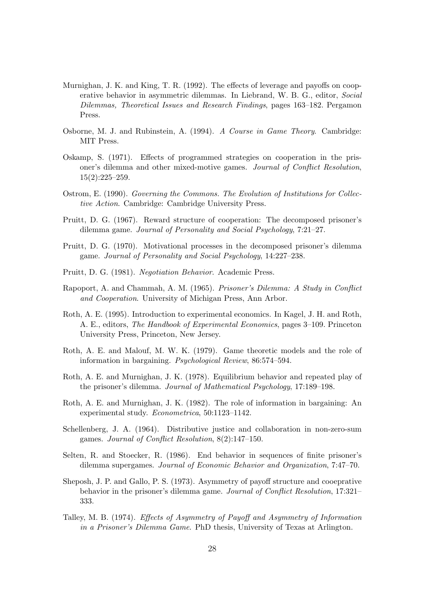- Murnighan, J. K. and King, T. R. (1992). The effects of leverage and payoffs on cooperative behavior in asymmetric dilemmas. In Liebrand, W. B. G., editor, Social Dilemmas, Theoretical Issues and Research Findings, pages 163–182. Pergamon Press.
- Osborne, M. J. and Rubinstein, A. (1994). A Course in Game Theory. Cambridge: MIT Press.
- Oskamp, S. (1971). Effects of programmed strategies on cooperation in the prisoner's dilemma and other mixed-motive games. Journal of Conflict Resolution,  $15(2):225-259.$
- Ostrom, E. (1990). Governing the Commons. The Evolution of Institutions for Collective Action. Cambridge: Cambridge University Press.
- Pruitt, D. G. (1967). Reward structure of cooperation: The decomposed prisoner's dilemma game. Journal of Personality and Social Psychology, 7:21–27.
- Pruitt, D. G. (1970). Motivational processes in the decomposed prisoner's dilemma game. Journal of Personality and Social Psychology, 14:227–238.
- Pruitt, D. G. (1981). Negotiation Behavior. Academic Press.
- Rapoport, A. and Chammah, A. M. (1965). Prisoner's Dilemma: A Study in Conflict and Cooperation. University of Michigan Press, Ann Arbor.
- Roth, A. E. (1995). Introduction to experimental economics. In Kagel, J. H. and Roth, A. E., editors, The Handbook of Experimental Economics, pages 3–109. Princeton University Press, Princeton, New Jersey.
- Roth, A. E. and Malouf, M. W. K. (1979). Game theoretic models and the role of information in bargaining. Psychological Review, 86:574–594.
- Roth, A. E. and Murnighan, J. K. (1978). Equilibrium behavior and repeated play of the prisoner's dilemma. Journal of Mathematical Psychology, 17:189–198.
- Roth, A. E. and Murnighan, J. K. (1982). The role of information in bargaining: An experimental study. Econometrica, 50:1123–1142.
- Schellenberg, J. A. (1964). Distributive justice and collaboration in non-zero-sum games. Journal of Conflict Resolution, 8(2):147–150.
- Selten, R. and Stoecker, R. (1986). End behavior in sequences of finite prisoner's dilemma supergames. Journal of Economic Behavior and Organization, 7:47–70.
- Sheposh, J. P. and Gallo, P. S. (1973). Asymmetry of payoff structure and cooeprative behavior in the prisoner's dilemma game. Journal of Conflict Resolution, 17:321– 333.
- Talley, M. B. (1974). Effects of Asymmetry of Payoff and Asymmetry of Information in a Prisoner's Dilemma Game. PhD thesis, University of Texas at Arlington.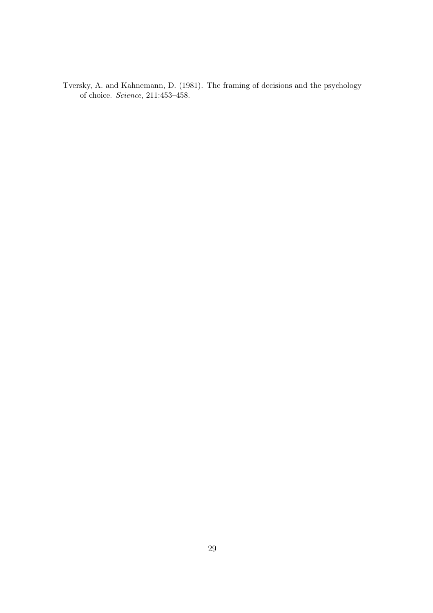Tversky, A. and Kahnemann, D. (1981). The framing of decisions and the psychology of choice. Science, 211:453–458.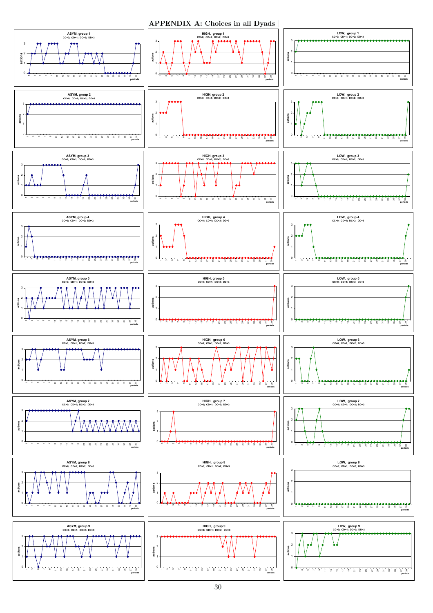APPENDIX A: Choices in all Dyads

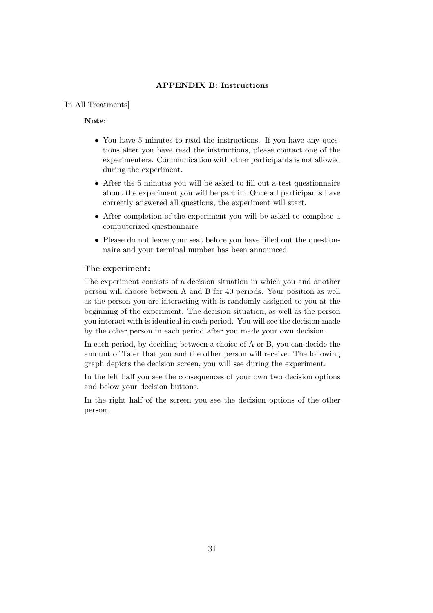### APPENDIX B: Instructions

#### [In All Treatments]

#### Note:

- You have 5 minutes to read the instructions. If you have any questions after you have read the instructions, please contact one of the experimenters. Communication with other participants is not allowed during the experiment.
- After the 5 minutes you will be asked to fill out a test questionnaire about the experiment you will be part in. Once all participants have correctly answered all questions, the experiment will start.
- After completion of the experiment you will be asked to complete a computerized questionnaire
- Please do not leave your seat before you have filled out the questionnaire and your terminal number has been announced

#### The experiment:

The experiment consists of a decision situation in which you and another person will choose between A and B for 40 periods. Your position as well as the person you are interacting with is randomly assigned to you at the beginning of the experiment. The decision situation, as well as the person you interact with is identical in each period. You will see the decision made by the other person in each period after you made your own decision.

In each period, by deciding between a choice of A or B, you can decide the amount of Taler that you and the other person will receive. The following graph depicts the decision screen, you will see during the experiment.

In the left half you see the consequences of your own two decision options and below your decision buttons.

In the right half of the screen you see the decision options of the other person.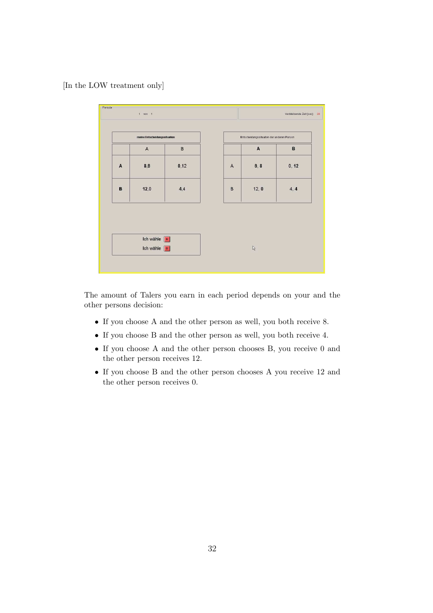[In the LOW treatment only]



The amount of Talers you earn in each period depends on your and the other persons decision:

- If you choose A and the other person as well, you both receive 8.
- If you choose B and the other person as well, you both receive 4.
- If you choose A and the other person chooses B, you receive 0 and the other person receives 12.
- If you choose B and the other person chooses A you receive 12 and the other person receives 0.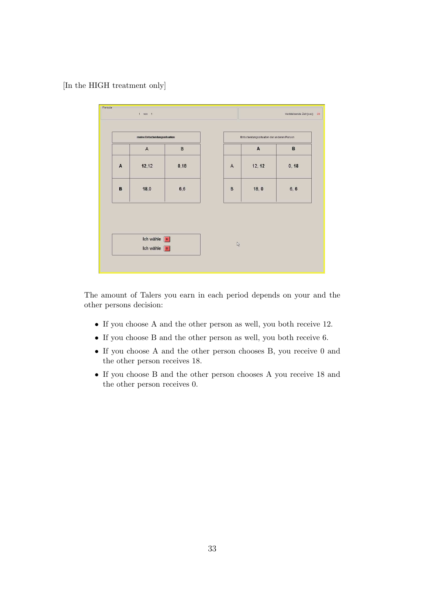[In the HIGH treatment only]



The amount of Talers you earn in each period depends on your and the other persons decision:

- If you choose A and the other person as well, you both receive 12.
- If you choose B and the other person as well, you both receive 6.
- If you choose A and the other person chooses B, you receive 0 and the other person receives 18.
- If you choose B and the other person chooses A you receive 18 and the other person receives 0.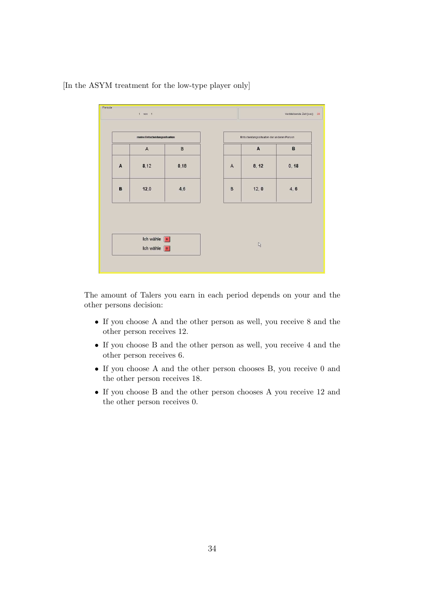

[In the ASYM treatment for the low-type player only]

The amount of Talers you earn in each period depends on your and the other persons decision:

- If you choose A and the other person as well, you receive 8 and the other person receives 12.
- If you choose B and the other person as well, you receive 4 and the other person receives 6.
- If you choose A and the other person chooses B, you receive 0 and the other person receives 18.
- If you choose B and the other person chooses A you receive 12 and the other person receives 0.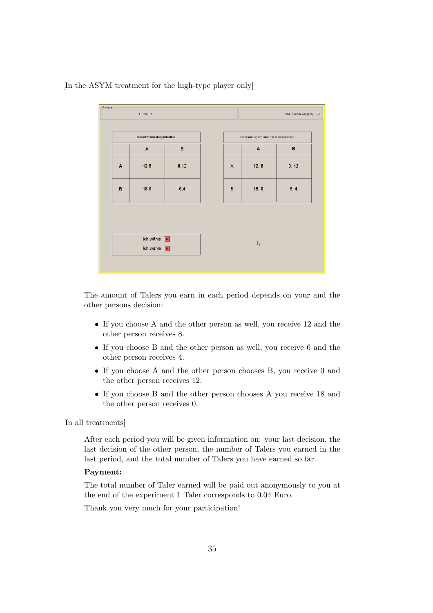

[In the ASYM treatment for the high-type player only]

The amount of Talers you earn in each period depends on your and the other persons decision:

- If you choose A and the other person as well, you receive 12 and the other person receives 8.
- If you choose B and the other person as well, you receive 6 and the other person receives 4.
- If you choose A and the other person chooses B, you receive 0 and the other person receives 12.
- If you choose B and the other person chooses A you receive 18 and the other person receives 0.

[In all treatments]

After each period you will be given information on: your last decision, the last decision of the other person, the number of Talers you earned in the last period, and the total number of Talers you have earned so far.

#### Payment:

The total number of Taler earned will be paid out anonymously to you at the end of the experiment 1 Taler corresponds to 0.04 Euro.

Thank you very much for your participation!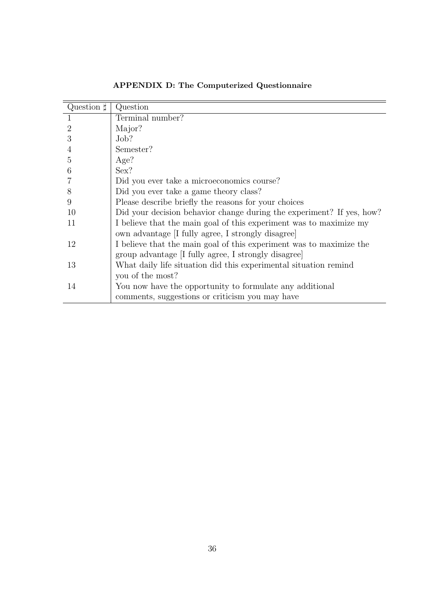| Question $\sharp$ | Question                                                              |
|-------------------|-----------------------------------------------------------------------|
| 1                 | Terminal number?                                                      |
| $\overline{2}$    | Major?                                                                |
| 3                 | Job?                                                                  |
| $\overline{4}$    | Semester?                                                             |
| 5                 | Age?                                                                  |
| 6                 | Sex?                                                                  |
|                   | Did you ever take a microeconomics course?                            |
| 8                 | Did you ever take a game theory class?                                |
| 9                 | Please describe briefly the reasons for your choices                  |
| 10                | Did your decision behavior change during the experiment? If yes, how? |
| 11                | I believe that the main goal of this experiment was to maximize my    |
|                   | own advantage [I fully agree, I strongly disagree]                    |
| 12                | I believe that the main goal of this experiment was to maximize the   |
|                   | group advantage I fully agree, I strongly disagree                    |
| 13                | What daily life situation did this experimental situation remind      |
|                   | you of the most?                                                      |
| 14                | You now have the opportunity to formulate any additional              |
|                   | comments, suggestions or criticism you may have                       |

APPENDIX D: The Computerized Questionnaire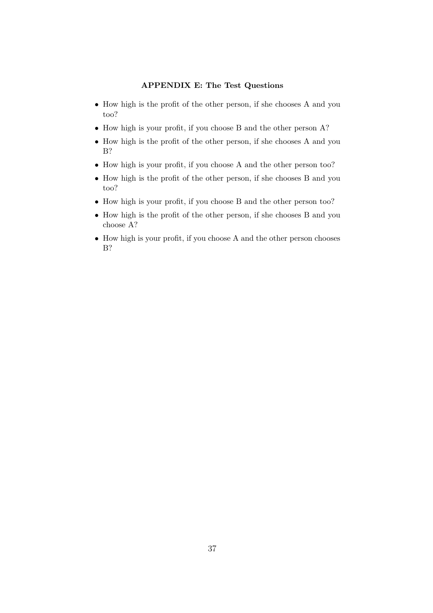#### APPENDIX E: The Test Questions

- How high is the profit of the other person, if she chooses A and you too?
- How high is your profit, if you choose B and the other person A?
- How high is the profit of the other person, if she chooses A and you B?
- How high is your profit, if you choose A and the other person too?
- How high is the profit of the other person, if she chooses B and you too?
- How high is your profit, if you choose B and the other person too?
- How high is the profit of the other person, if she chooses B and you choose A?
- How high is your profit, if you choose A and the other person chooses B?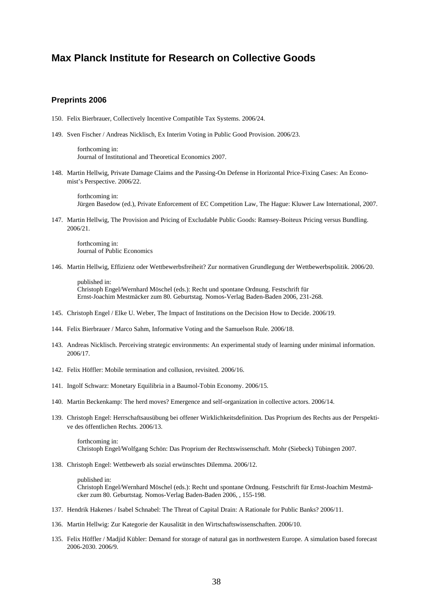## **Max Planck Institute for Research on Collective Goods**

#### **Preprints 2006**

- 150. Felix Bierbrauer, Collectively Incentive Compatible Tax Systems. 2006/24.
- 149. Sven Fischer / Andreas Nicklisch, Ex Interim Voting in Public Good Provision. 2006/23.

forthcoming in: Journal of Institutional and Theoretical Economics 2007.

148. Martin Hellwig, Private Damage Claims and the Passing-On Defense in Horizontal Price-Fixing Cases: An Economist's Perspective. 2006/22.

forthcoming in: Jürgen Basedow (ed.), Private Enforcement of EC Competition Law, The Hague: Kluwer Law International, 2007.

147. Martin Hellwig, The Provision and Pricing of Excludable Public Goods: Ramsey-Boiteux Pricing versus Bundling. 2006/21.

forthcoming in: Journal of Public Economics

146. Martin Hellwig, Effizienz oder Wettbewerbsfreiheit? Zur normativen Grundlegung der Wettbewerbspolitik. 2006/20.

published in: Christoph Engel/Wernhard Möschel (eds.): Recht und spontane Ordnung. Festschrift für Ernst-Joachim Mestmäcker zum 80. Geburtstag. Nomos-Verlag Baden-Baden 2006, 231-268.

- 145. Christoph Engel / Elke U. Weber, The Impact of Institutions on the Decision How to Decide. 2006/19.
- 144. Felix Bierbrauer / Marco Sahm, Informative Voting and the Samuelson Rule. 2006/18.
- 143. Andreas Nicklisch. Perceiving strategic environments: An experimental study of learning under minimal information. 2006/17.
- 142. Felix Höffler: Mobile termination and collusion, revisited. 2006/16.
- 141. Ingolf Schwarz: Monetary Equilibria in a Baumol-Tobin Economy. 2006/15.
- 140. Martin Beckenkamp: The herd moves? Emergence and self-organization in collective actors. 2006/14.
- 139. Christoph Engel: Herrschaftsausübung bei offener Wirklichkeitsdefinition. Das Proprium des Rechts aus der Perspektive des öffentlichen Rechts. 2006/13.

forthcoming in: Christoph Engel/Wolfgang Schön: Das Proprium der Rechtswissenschaft. Mohr (Siebeck) Tübingen 2007.

138. Christoph Engel: Wettbewerb als sozial erwünschtes Dilemma. 2006/12.

published in: Christoph Engel/Wernhard Möschel (eds.): Recht und spontane Ordnung. Festschrift für Ernst-Joachim Mestmäcker zum 80. Geburtstag. Nomos-Verlag Baden-Baden 2006, , 155-198.

- 137. Hendrik Hakenes / Isabel Schnabel: The Threat of Capital Drain: A Rationale for Public Banks? 2006/11.
- 136. Martin Hellwig: Zur Kategorie der Kausalität in den Wirtschaftswissenschaften. 2006/10.
- 135. Felix Höffler / Madjid Kübler: Demand for storage of natural gas in northwestern Europe. A simulation based forecast 2006-2030. 2006/9.